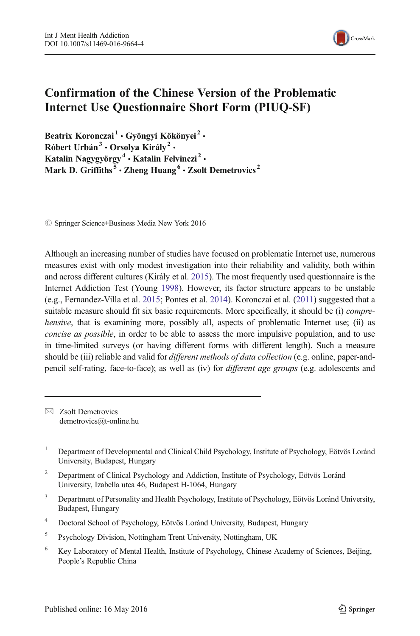

# Confirmation of the Chinese Version of the Problematic Internet Use Questionnaire Short Form (PIUQ-SF)

Beatrix Koronczai<sup>1</sup> • Gyöngyi Kökönyei<sup>2</sup> • Róbert Urbán<sup>3</sup> · Orsolya Király<sup>2</sup> · Katalin Nagygyörgy<sup>4</sup>  $\cdot$  Katalin Felvinczi<sup>2</sup>  $\cdot$ Mark D. Griffiths<sup>5</sup>  $\cdot$  Zheng Huang<sup>6</sup>  $\cdot$  Zsolt Demetrovics<sup>2</sup>

 $\oslash$  Springer Science+Business Media New York 2016

Although an increasing number of studies have focused on problematic Internet use, numerous measures exist with only modest investigation into their reliability and validity, both within and across different cultures (Király et al. [2015\)](#page-6-0). The most frequently used questionnaire is the Internet Addiction Test (Young [1998](#page-6-0)). However, its factor structure appears to be unstable (e.g., Fernandez-Villa et al. [2015;](#page-5-0) Pontes et al. [2014](#page-6-0)). Koronczai et al. [\(2011](#page-6-0)) suggested that a suitable measure should fit six basic requirements. More specifically, it should be (i) *compre*hensive, that is examining more, possibly all, aspects of problematic Internet use; (ii) as concise as possible, in order to be able to assess the more impulsive population, and to use in time-limited surveys (or having different forms with different length). Such a measure should be (iii) reliable and valid for *different methods of data collection* (e.g. online, paper-andpencil self-rating, face-to-face); as well as (iv) for different age groups (e.g. adolescents and

 $\boxtimes$  Zsolt Demetrovics demetrovics@t-online.hu

- <sup>1</sup> Department of Developmental and Clinical Child Psychology, Institute of Psychology, Eötvös Loránd University, Budapest, Hungary
- <sup>2</sup> Department of Clinical Psychology and Addiction, Institute of Psychology, Eötvös Loránd University, Izabella utca 46, Budapest H-1064, Hungary
- <sup>3</sup> Department of Personality and Health Psychology, Institute of Psychology, Eötvös Loránd University, Budapest, Hungary
- <sup>4</sup> Doctoral School of Psychology, Eötvös Loránd University, Budapest, Hungary
- <sup>5</sup> Psychology Division, Nottingham Trent University, Nottingham, UK
- <sup>6</sup> Key Laboratory of Mental Health, Institute of Psychology, Chinese Academy of Sciences, Beijing, People's Republic China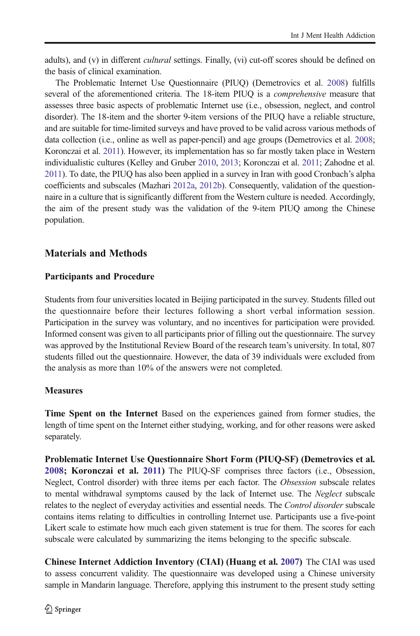adults), and (v) in different *cultural* settings. Finally, (vi) cut-off scores should be defined on the basis of clinical examination.

The Problematic Internet Use Questionnaire (PIUQ) (Demetrovics et al. [2008](#page-5-0)) fulfills several of the aforementioned criteria. The 18-item PIUQ is a comprehensive measure that assesses three basic aspects of problematic Internet use (i.e., obsession, neglect, and control disorder). The 18-item and the shorter 9-item versions of the PIUQ have a reliable structure, and are suitable for time-limited surveys and have proved to be valid across various methods of data collection (i.e., online as well as paper-pencil) and age groups (Demetrovics et al. [2008](#page-5-0); Koronczai et al. [2011](#page-6-0)). However, its implementation has so far mostly taken place in Western individualistic cultures (Kelley and Gruber [2010](#page-5-0), [2013;](#page-5-0) Koronczai et al. [2011](#page-6-0); Zahodne et al. [2011](#page-6-0)). To date, the PIUQ has also been applied in a survey in Iran with good Cronbach's alpha coefficients and subscales (Mazhari [2012a,](#page-6-0) [2012b](#page-6-0)). Consequently, validation of the questionnaire in a culture that is significantly different from the Western culture is needed. Accordingly, the aim of the present study was the validation of the 9-item PIUQ among the Chinese population.

## Materials and Methods

## Participants and Procedure

Students from four universities located in Beijing participated in the survey. Students filled out the questionnaire before their lectures following a short verbal information session. Participation in the survey was voluntary, and no incentives for participation were provided. Informed consent was given to all participants prior of filling out the questionnaire. The survey was approved by the Institutional Review Board of the research team's university. In total, 807 students filled out the questionnaire. However, the data of 39 individuals were excluded from the analysis as more than 10% of the answers were not completed.

## **Measures**

Time Spent on the Internet Based on the experiences gained from former studies, the length of time spent on the Internet either studying, working, and for other reasons were asked separately.

Problematic Internet Use Questionnaire Short Form (PIUQ-SF) (Demetrovics et al. [2008;](#page-5-0) Koronczai et al. [2011](#page-6-0)) The PIUQ-SF comprises three factors (i.e., Obsession, Neglect, Control disorder) with three items per each factor. The Obsession subscale relates to mental withdrawal symptoms caused by the lack of Internet use. The Neglect subscale relates to the neglect of everyday activities and essential needs. The Control disorder subscale contains items relating to difficulties in controlling Internet use. Participants use a five-point Likert scale to estimate how much each given statement is true for them. The scores for each subscale were calculated by summarizing the items belonging to the specific subscale.

Chinese Internet Addiction Inventory (CIAI) (Huang et al. [2007](#page-5-0)) The CIAI was used to assess concurrent validity. The questionnaire was developed using a Chinese university sample in Mandarin language. Therefore, applying this instrument to the present study setting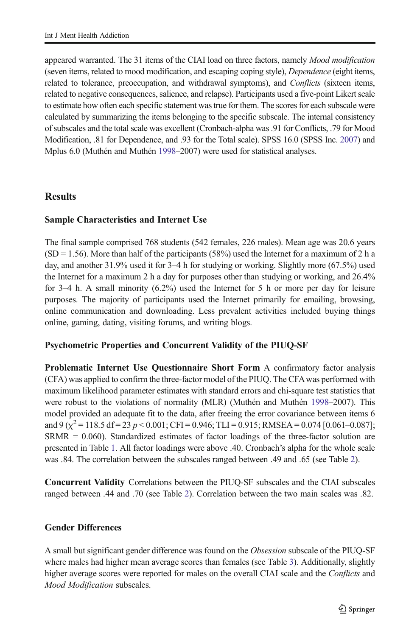appeared warranted. The 31 items of the CIAI load on three factors, namely *Mood modification* (seven items, related to mood modification, and escaping coping style), Dependence (eight items, related to tolerance, preoccupation, and withdrawal symptoms), and Conflicts (sixteen items, related to negative consequences, salience, and relapse). Participants used a five-point Likert scale to estimate how often each specific statement was true for them. The scores for each subscale were calculated by summarizing the items belonging to the specific subscale. The internal consistency of subscales and the total scale was excellent (Cronbach-alpha was .91 for Conflicts, .79 for Mood Modification, .81 for Dependence, and .93 for the Total scale). SPSS 16.0 (SPSS Inc. [2007](#page-6-0)) and Mplus 6.0 (Muthén and Muthén [1998](#page-6-0)–2007) were used for statistical analyses.

## Results

### Sample Characteristics and Internet Use

The final sample comprised 768 students (542 females, 226 males). Mean age was 20.6 years  $(SD = 1.56)$ . More than half of the participants (58%) used the Internet for a maximum of 2 h a day, and another 31.9% used it for 3–4 h for studying or working. Slightly more (67.5%) used the Internet for a maximum 2 h a day for purposes other than studying or working, and 26.4% for 3–4 h. A small minority (6.2%) used the Internet for 5 h or more per day for leisure purposes. The majority of participants used the Internet primarily for emailing, browsing, online communication and downloading. Less prevalent activities included buying things online, gaming, dating, visiting forums, and writing blogs.

#### Psychometric Properties and Concurrent Validity of the PIUQ-SF

Problematic Internet Use Questionnaire Short Form A confirmatory factor analysis (CFA) was applied to confirm the three-factor model of the PIUQ. The CFAwas performed with maximum likelihood parameter estimates with standard errors and chi-square test statistics that were robust to the violations of normality (MLR) (Muthén and Muthén [1998](#page-6-0)–2007). This model provided an adequate fit to the data, after freeing the error covariance between items 6 and 9 ( $\chi^2$  = 118.5 df = 23 p < 0.001; CFI = 0.946; TLI = 0.915; RMSEA = 0.074 [0.061–0.087]; SRMR = 0.060). Standardized estimates of factor loadings of the three-factor solution are presented in Table [1.](#page-3-0) All factor loadings were above .40. Cronbach's alpha for the whole scale was .84. The correlation between the subscales ranged between .49 and .65 (see Table [2\)](#page-3-0).

Concurrent Validity Correlations between the PIUQ-SF subscales and the CIAI subscales ranged between .44 and .70 (see Table [2\)](#page-3-0). Correlation between the two main scales was .82.

## Gender Differences

A small but significant gender difference was found on the Obsession subscale of the PIUQ-SF where males had higher mean average scores than females (see Table [3](#page-4-0)). Additionally, slightly higher average scores were reported for males on the overall CIAI scale and the Conflicts and Mood Modification subscales.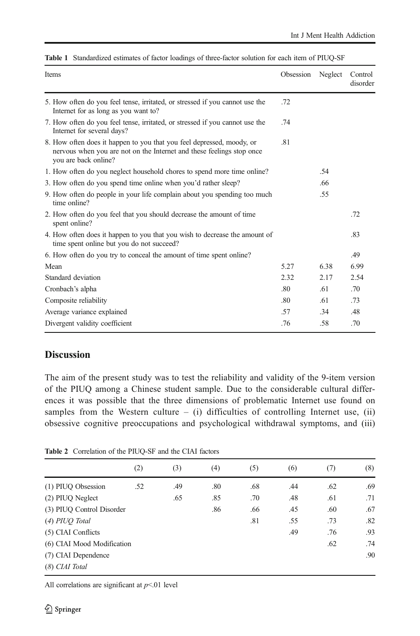| Items                                                                                                                                                                  | Obsession | Neglect | Control<br>disorder |
|------------------------------------------------------------------------------------------------------------------------------------------------------------------------|-----------|---------|---------------------|
| 5. How often do you feel tense, irritated, or stressed if you cannot use the<br>Internet for as long as you want to?                                                   | .72       |         |                     |
| 7. How often do you feel tense, irritated, or stressed if you cannot use the<br>Internet for several days?                                                             | .74       |         |                     |
| 8. How often does it happen to you that you feel depressed, moody, or<br>nervous when you are not on the Internet and these feelings stop once<br>you are back online? | .81       |         |                     |
| 1. How often do you neglect household chores to spend more time online?                                                                                                |           | .54     |                     |
| 3. How often do you spend time online when you'd rather sleep?                                                                                                         |           | .66     |                     |
| 9. How often do people in your life complain about you spending too much<br>time online?                                                                               |           | .55     |                     |
| 2. How often do you feel that you should decrease the amount of time<br>spent online?                                                                                  |           |         | .72                 |
| 4. How often does it happen to you that you wish to decrease the amount of<br>time spent online but you do not succeed?                                                |           |         | .83                 |
| 6. How often do you try to conceal the amount of time spent online?                                                                                                    |           |         | .49                 |
| Mean                                                                                                                                                                   | 5.27      | 6.38    | 6.99                |
| Standard deviation                                                                                                                                                     | 2.32      | 2.17    | 2.54                |
| Cronbach's alpha                                                                                                                                                       | .80       | .61     | .70                 |
| Composite reliability                                                                                                                                                  | .80       | .61     | .73                 |
| Average variance explained                                                                                                                                             | .57       | .34     | .48                 |
| Divergent validity coefficient                                                                                                                                         | .76       | .58     | .70                 |

<span id="page-3-0"></span>Table 1 Standardized estimates of factor loadings of three-factor solution for each item of PIUQ-SF

## Discussion

The aim of the present study was to test the reliability and validity of the 9-item version of the PIUQ among a Chinese student sample. Due to the considerable cultural differences it was possible that the three dimensions of problematic Internet use found on samples from the Western culture  $-$  (i) difficulties of controlling Internet use, (ii) obsessive cognitive preoccupations and psychological withdrawal symptoms, and (iii)

|                            | (2) | (3) | (4) | (5) | (6) | (7) | (8) |
|----------------------------|-----|-----|-----|-----|-----|-----|-----|
| (1) PIUQ Obsession         | .52 | .49 | .80 | .68 | .44 | .62 | .69 |
| (2) PIUQ Neglect           |     | .65 | .85 | .70 | .48 | .61 | .71 |
| (3) PIUQ Control Disorder  |     |     | .86 | .66 | .45 | .60 | .67 |
| $(4)$ PIUO Total           |     |     |     | .81 | .55 | .73 | .82 |
| (5) CIAI Conflicts         |     |     |     |     | .49 | .76 | .93 |
| (6) CIAI Mood Modification |     |     |     |     |     | .62 | .74 |
| (7) CIAI Dependence        |     |     |     |     |     |     | .90 |
| (8) CIAI Total             |     |     |     |     |     |     |     |

Table 2 Correlation of the PIUQ-SF and the CIAI factors

All correlations are significant at  $p<01$  level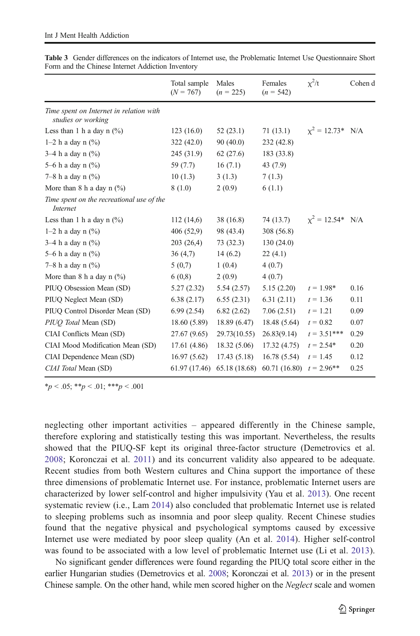|                                                               | Total sample<br>$(N = 767)$ | Males<br>$(n = 225)$ | Females<br>$(n = 542)$ | $\chi^2/t$          | Cohen d |
|---------------------------------------------------------------|-----------------------------|----------------------|------------------------|---------------------|---------|
| Time spent on Internet in relation with<br>studies or working |                             |                      |                        |                     |         |
| Less than 1 h a day n $(\%)$                                  | 123(16.0)                   | 52(23.1)             | 71(13.1)               | $x^2 = 12.73^*$ N/A |         |
| 1–2 h a day n $(\frac{9}{0})$                                 | 322(42.0)                   | 90(40.0)             | 232 (42.8)             |                     |         |
| 3–4 h a day n $(\frac{6}{6})$                                 | 245 (31.9)                  | 62(27.6)             | 183 (33.8)             |                     |         |
| 5–6 h a day n $(\frac{9}{0})$                                 | 59 (7.7)                    | 16(7.1)              | 43(7.9)                |                     |         |
| 7–8 h a day n $(\frac{9}{0})$                                 | 10(1.3)                     | 3(1.3)               | 7(1.3)                 |                     |         |
| More than 8 h a day n $(\%)$                                  | 8(1.0)                      | 2(0.9)               | 6(1.1)                 |                     |         |
| Time spent on the recreational use of the<br><i>Internet</i>  |                             |                      |                        |                     |         |
| Less than 1 h a day n $(\%)$                                  | 112(14,6)                   | 38(16.8)             | 74 (13.7)              | $x^2 = 12.54$ * N/A |         |
| 1–2 h a day n $(\frac{9}{0})$                                 | 406(52,9)                   | 98 (43.4)            | 308 (56.8)             |                     |         |
| 3–4 h a day n $(\frac{9}{0})$                                 | 203(26,4)                   | 73 (32.3)            | 130(24.0)              |                     |         |
| 5–6 h a day n $(\frac{9}{0})$                                 | 36(4,7)                     | 14(6.2)              | 22(4.1)                |                     |         |
| 7–8 h a day n $(\frac{9}{0})$                                 | 5(0,7)                      | 1(0.4)               | 4(0.7)                 |                     |         |
| More than 8 h a day n $(\% )$                                 | 6(0,8)                      | 2(0.9)               | 4(0.7)                 |                     |         |
| PIUQ Obsession Mean (SD)                                      | 5.27(2.32)                  | 5.54(2.57)           | 5.15(2.20)             | $t = 1.98*$         | 0.16    |
| PIUQ Neglect Mean (SD)                                        | 6.38(2.17)                  | 6.55(2.31)           | 6.31(2.11)             | $t = 1.36$          | 0.11    |
| PIUQ Control Disorder Mean (SD)                               | 6.99(2.54)                  | 6.82(2.62)           | 7.06(2.51)             | $t = 1.21$          | 0.09    |
| PIUO Total Mean (SD)                                          | 18.60 (5.89)                | 18.89 (6.47)         | 18.48 (5.64)           | $t = 0.82$          | 0.07    |
| CIAI Conflicts Mean (SD)                                      | 27.67 (9.65)                | 29.73(10.55)         | 26.83(9.14)            | $t = 3.51***$       | 0.29    |
| CIAI Mood Modification Mean (SD)                              | 17.61 (4.86)                | 18.32 (5.06)         | 17.32 (4.75)           | $t = 2.54*$         | 0.20    |
| CIAI Dependence Mean (SD)                                     | 16.97(5.62)                 | 17.43(5.18)          | 16.78 (5.54)           | $t = 1.45$          | 0.12    |
| CIAI Total Mean (SD)                                          | 61.97 (17.46)               | 65.18 (18.68)        | 60.71 (16.80)          | $t = 2.96$ **       | 0.25    |

<span id="page-4-0"></span>Table 3 Gender differences on the indicators of Internet use, the Problematic Internet Use Questionnaire Short Form and the Chinese Internet Addiction Inventory

 $*_p$  < .05;  $*_p$  < .01;  $**_p$  < .001

neglecting other important activities – appeared differently in the Chinese sample, therefore exploring and statistically testing this was important. Nevertheless, the results showed that the PIUQ-SF kept its original three-factor structure (Demetrovics et al. [2008](#page-5-0); Koronczai et al. [2011](#page-6-0)) and its concurrent validity also appeared to be adequate. Recent studies from both Western cultures and China support the importance of these three dimensions of problematic Internet use. For instance, problematic Internet users are characterized by lower self-control and higher impulsivity (Yau et al. [2013](#page-6-0)). One recent systematic review (i.e., Lam [2014](#page-6-0)) also concluded that problematic Internet use is related to sleeping problems such as insomnia and poor sleep quality. Recent Chinese studies found that the negative physical and psychological symptoms caused by excessive Internet use were mediated by poor sleep quality (An et al. [2014\)](#page-5-0). Higher self-control was found to be associated with a low level of problematic Internet use (Li et al. [2013](#page-6-0)).

No significant gender differences were found regarding the PIUQ total score either in the earlier Hungarian studies (Demetrovics et al. [2008;](#page-5-0) Koronczai et al. [2013](#page-6-0)) or in the present Chinese sample. On the other hand, while men scored higher on the Neglect scale and women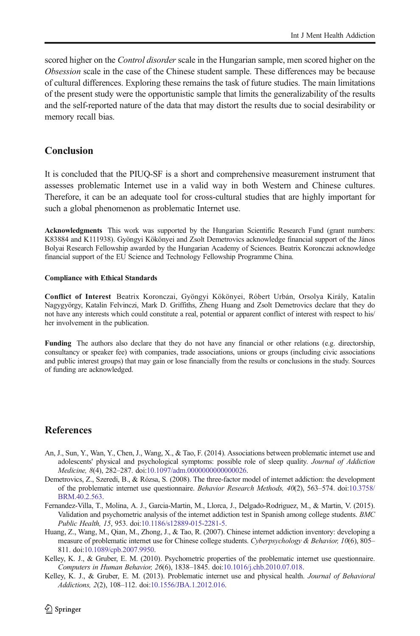<span id="page-5-0"></span>scored higher on the *Control disorder* scale in the Hungarian sample, men scored higher on the Obsession scale in the case of the Chinese student sample. These differences may be because of cultural differences. Exploring these remains the task of future studies. The main limitations of the present study were the opportunistic sample that limits the generalizability of the results and the self-reported nature of the data that may distort the results due to social desirability or memory recall bias.

### Conclusion

It is concluded that the PIUQ-SF is a short and comprehensive measurement instrument that assesses problematic Internet use in a valid way in both Western and Chinese cultures. Therefore, it can be an adequate tool for cross-cultural studies that are highly important for such a global phenomenon as problematic Internet use.

Acknowledgments This work was supported by the Hungarian Scientific Research Fund (grant numbers: K83884 and K111938). Gyöngyi Kökönyei and Zsolt Demetrovics acknowledge financial support of the János Bolyai Research Fellowship awarded by the Hungarian Academy of Sciences. Beatrix Koronczai acknowledge financial support of the EU Science and Technology Fellowship Programme China.

#### Compliance with Ethical Standards

Conflict of Interest Beatrix Koronczai, Gyöngyi Kökönyei, Róbert Urbán, Orsolya Király, Katalin Nagygyörgy, Katalin Felvinczi, Mark D. Griffiths, Zheng Huang and Zsolt Demetrovics declare that they do not have any interests which could constitute a real, potential or apparent conflict of interest with respect to his/ her involvement in the publication.

Funding The authors also declare that they do not have any financial or other relations (e.g. directorship, consultancy or speaker fee) with companies, trade associations, unions or groups (including civic associations and public interest groups) that may gain or lose financially from the results or conclusions in the study. Sources of funding are acknowledged.

## **References**

- An, J., Sun, Y., Wan, Y., Chen, J., Wang, X., & Tao, F. (2014). Associations between problematic internet use and adolescents' physical and psychological symptoms: possible role of sleep quality. Journal of Addiction Medicine, 8(4), 282–287. doi:[10.1097/adm.0000000000000026.](http://dx.doi.org/10.1097/adm.0000000000000026)
- Demetrovics, Z., Szeredi, B., & Rózsa, S. (2008). The three-factor model of internet addiction: the development of the problematic internet use questionnaire. Behavior Research Methods, 40(2), 563–574. doi[:10.3758/](http://dx.doi.org/10.3758/BRM.40.2.563) [BRM.40.2.563.](http://dx.doi.org/10.3758/BRM.40.2.563)
- Fernandez-Villa, T., Molina, A. J., Garcia-Martin, M., Llorca, J., Delgado-Rodriguez, M., & Martin, V. (2015). Validation and psychometric analysis of the internet addiction test in Spanish among college students. BMC Public Health, 15, 953. doi[:10.1186/s12889-015-2281-5.](http://dx.doi.org/10.1186/s12889-015-2281-5)
- Huang, Z., Wang, M., Qian, M., Zhong, J., & Tao, R. (2007). Chinese internet addiction inventory: developing a measure of problematic internet use for Chinese college students. Cyberpsychology & Behavior, 10(6), 805– 811. doi[:10.1089/cpb.2007.9950](http://dx.doi.org/10.1089/cpb.2007.9950).
- Kelley, K. J., & Gruber, E. M. (2010). Psychometric properties of the problematic internet use questionnaire. Computers in Human Behavior, 26(6), 1838–1845. doi:[10.1016/j.chb.2010.07.018.](http://dx.doi.org/10.1016/j.chb.2010.07.018)
- Kelley, K. J., & Gruber, E. M. (2013). Problematic internet use and physical health. Journal of Behavioral Addictions, 2(2), 108–112. doi:[10.1556/JBA.1.2012.016](http://dx.doi.org/10.1556/JBA.1.2012.016).